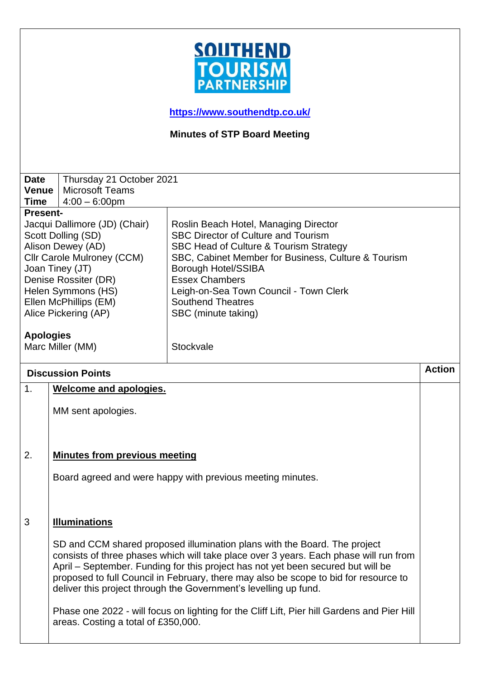

**<https://www.southendtp.co.uk/>**

**Minutes of STP Board Meeting** 

| <b>Date</b><br>Venue                                                                                                                                                                                                                                                                | Thursday 21 October 2021<br><b>Microsoft Teams</b>                                                                                                                                                                                                                                                                                                                                                                                                                                                                                                       |                                                                                                                                                                                                                                                                                                                                                       |               |  |
|-------------------------------------------------------------------------------------------------------------------------------------------------------------------------------------------------------------------------------------------------------------------------------------|----------------------------------------------------------------------------------------------------------------------------------------------------------------------------------------------------------------------------------------------------------------------------------------------------------------------------------------------------------------------------------------------------------------------------------------------------------------------------------------------------------------------------------------------------------|-------------------------------------------------------------------------------------------------------------------------------------------------------------------------------------------------------------------------------------------------------------------------------------------------------------------------------------------------------|---------------|--|
| <b>Time</b>                                                                                                                                                                                                                                                                         | $4:00 - 6:00$ pm                                                                                                                                                                                                                                                                                                                                                                                                                                                                                                                                         |                                                                                                                                                                                                                                                                                                                                                       |               |  |
| <b>Present-</b><br>Jacqui Dallimore (JD) (Chair)<br>Scott Dolling (SD)<br>Alison Dewey (AD)<br>Cllr Carole Mulroney (CCM)<br>Joan Tiney (JT)<br>Denise Rossiter (DR)<br>Helen Symmons (HS)<br>Ellen McPhillips (EM)<br>Alice Pickering (AP)<br><b>Apologies</b><br>Marc Miller (MM) |                                                                                                                                                                                                                                                                                                                                                                                                                                                                                                                                                          | Roslin Beach Hotel, Managing Director<br><b>SBC Director of Culture and Tourism</b><br>SBC Head of Culture & Tourism Strategy<br>SBC, Cabinet Member for Business, Culture & Tourism<br><b>Borough Hotel/SSIBA</b><br><b>Essex Chambers</b><br>Leigh-on-Sea Town Council - Town Clerk<br><b>Southend Theatres</b><br>SBC (minute taking)<br>Stockvale |               |  |
| <b>Discussion Points</b>                                                                                                                                                                                                                                                            |                                                                                                                                                                                                                                                                                                                                                                                                                                                                                                                                                          |                                                                                                                                                                                                                                                                                                                                                       | <b>Action</b> |  |
| $\mathbf{1}$ .                                                                                                                                                                                                                                                                      | <b>Welcome and apologies.</b>                                                                                                                                                                                                                                                                                                                                                                                                                                                                                                                            |                                                                                                                                                                                                                                                                                                                                                       |               |  |
|                                                                                                                                                                                                                                                                                     | MM sent apologies.                                                                                                                                                                                                                                                                                                                                                                                                                                                                                                                                       |                                                                                                                                                                                                                                                                                                                                                       |               |  |
| 2.                                                                                                                                                                                                                                                                                  | <b>Minutes from previous meeting</b>                                                                                                                                                                                                                                                                                                                                                                                                                                                                                                                     |                                                                                                                                                                                                                                                                                                                                                       |               |  |
| Board agreed and were happy with previous meeting minutes.                                                                                                                                                                                                                          |                                                                                                                                                                                                                                                                                                                                                                                                                                                                                                                                                          |                                                                                                                                                                                                                                                                                                                                                       |               |  |
| 3                                                                                                                                                                                                                                                                                   | <b>Illuminations</b>                                                                                                                                                                                                                                                                                                                                                                                                                                                                                                                                     |                                                                                                                                                                                                                                                                                                                                                       |               |  |
|                                                                                                                                                                                                                                                                                     | SD and CCM shared proposed illumination plans with the Board. The project<br>consists of three phases which will take place over 3 years. Each phase will run from<br>April – September. Funding for this project has not yet been secured but will be<br>proposed to full Council in February, there may also be scope to bid for resource to<br>deliver this project through the Government's levelling up fund.<br>Phase one 2022 - will focus on lighting for the Cliff Lift, Pier hill Gardens and Pier Hill<br>areas. Costing a total of £350,000. |                                                                                                                                                                                                                                                                                                                                                       |               |  |
|                                                                                                                                                                                                                                                                                     |                                                                                                                                                                                                                                                                                                                                                                                                                                                                                                                                                          |                                                                                                                                                                                                                                                                                                                                                       |               |  |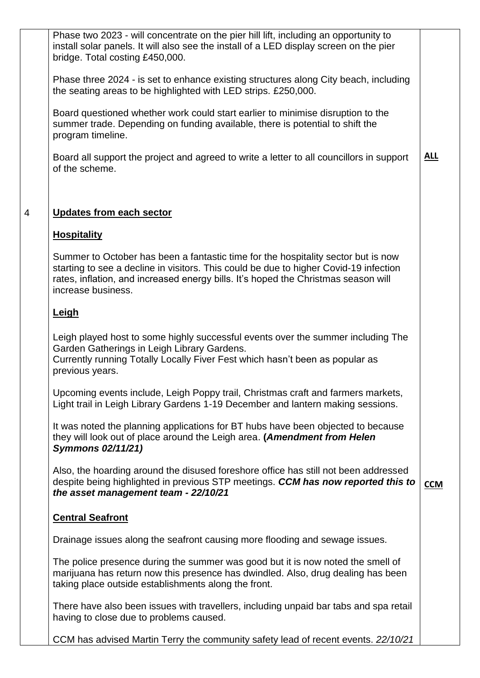| Phase two 2023 - will concentrate on the pier hill lift, including an opportunity to<br>install solar panels. It will also see the install of a LED display screen on the pier<br>bridge. Total costing £450,000.                                                                      |            |
|----------------------------------------------------------------------------------------------------------------------------------------------------------------------------------------------------------------------------------------------------------------------------------------|------------|
| Phase three 2024 - is set to enhance existing structures along City beach, including<br>the seating areas to be highlighted with LED strips. £250,000.                                                                                                                                 |            |
| Board questioned whether work could start earlier to minimise disruption to the<br>summer trade. Depending on funding available, there is potential to shift the<br>program timeline.                                                                                                  |            |
| Board all support the project and agreed to write a letter to all councillors in support<br>of the scheme.                                                                                                                                                                             | <u>ALL</u> |
| <b>Updates from each sector</b>                                                                                                                                                                                                                                                        |            |
| <b>Hospitality</b>                                                                                                                                                                                                                                                                     |            |
| Summer to October has been a fantastic time for the hospitality sector but is now<br>starting to see a decline in visitors. This could be due to higher Covid-19 infection<br>rates, inflation, and increased energy bills. It's hoped the Christmas season will<br>increase business. |            |
| <b>Leigh</b>                                                                                                                                                                                                                                                                           |            |
| Leigh played host to some highly successful events over the summer including The<br>Garden Gatherings in Leigh Library Gardens.<br>Currently running Totally Locally Fiver Fest which hasn't been as popular as<br>previous years.                                                     |            |
| Upcoming events include, Leigh Poppy trail, Christmas craft and farmers markets,<br>Light trail in Leigh Library Gardens 1-19 December and lantern making sessions.                                                                                                                    |            |
| It was noted the planning applications for BT hubs have been objected to because<br>they will look out of place around the Leigh area. (Amendment from Helen<br><b>Symmons 02/11/21)</b>                                                                                               |            |
| Also, the hoarding around the disused foreshore office has still not been addressed<br>despite being highlighted in previous STP meetings. CCM has now reported this to<br>the asset management team - 22/10/21                                                                        | <b>CCM</b> |
| <b>Central Seafront</b>                                                                                                                                                                                                                                                                |            |
| Drainage issues along the seafront causing more flooding and sewage issues.                                                                                                                                                                                                            |            |
| The police presence during the summer was good but it is now noted the smell of<br>marijuana has return now this presence has dwindled. Also, drug dealing has been<br>taking place outside establishments along the front.                                                            |            |
| There have also been issues with travellers, including unpaid bar tabs and spa retail<br>having to close due to problems caused.                                                                                                                                                       |            |
| CCM has advised Martin Terry the community safety lead of recent events. 22/10/21                                                                                                                                                                                                      |            |

4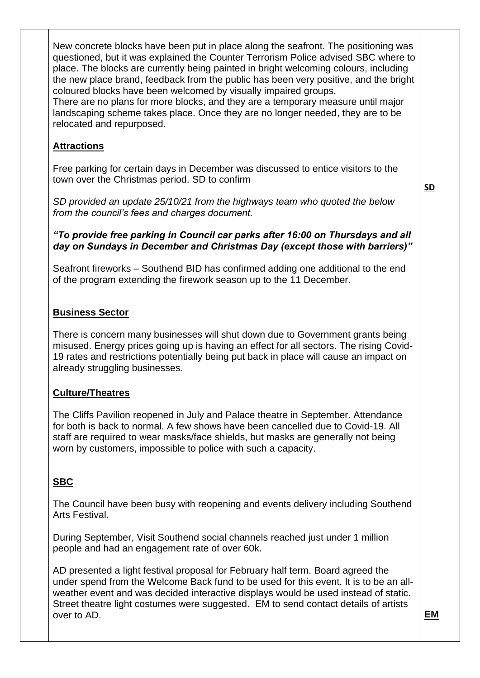New concrete blocks have been put in place along the seafront. The positioning was questioned, but it was explained the Counter Terrorism Police advised SBC where to place. The blocks are currently being painted in bright welcoming colours, including the new place brand, feedback from the public has been very positive, and the bright coloured blocks have been welcomed by visually impaired groups.

There are no plans for more blocks, and they are a temporary measure until major landscaping scheme takes place. Once they are no longer needed, they are to be relocated and repurposed.

## **Attractions**

Free parking for certain days in December was discussed to entice visitors to the town over the Christmas period. SD to confirm

*SD provided an update 25/10/21 from the highways team who quoted the below from the council's fees and charges document.*

**SD**

### *"To provide free parking in Council car parks after 16:00 on Thursdays and all day on Sundays in December and Christmas Day (except those with barriers)"*

Seafront fireworks – Southend BID has confirmed adding one additional to the end of the program extending the firework season up to the 11 December.

## **Business Sector**

There is concern many businesses will shut down due to Government grants being misused. Energy prices going up is having an effect for all sectors. The rising Covid-19 rates and restrictions potentially being put back in place will cause an impact on already struggling businesses.

### **Culture/Theatres**

The Cliffs Pavilion reopened in July and Palace theatre in September. Attendance for both is back to normal. A few shows have been cancelled due to Covid-19. All staff are required to wear masks/face shields, but masks are generally not being worn by customers, impossible to police with such a capacity.

# **SBC**

The Council have been busy with reopening and events delivery including Southend Arts Festival.

During September, Visit Southend social channels reached just under 1 million people and had an engagement rate of over 60k.

AD presented a light festival proposal for February half term. Board agreed the under spend from the Welcome Back fund to be used for this event. It is to be an allweather event and was decided interactive displays would be used instead of static. Street theatre light costumes were suggested. EM to send contact details of artists over to AD.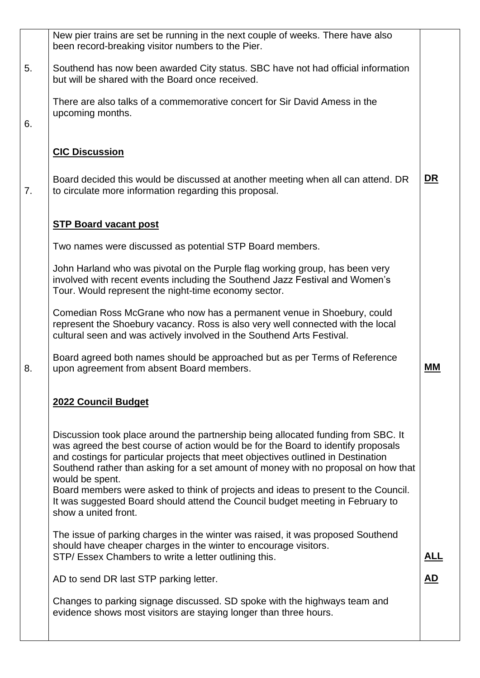|    | New pier trains are set be running in the next couple of weeks. There have also<br>been record-breaking visitor numbers to the Pier.                                                                                                                                                                                                                                 |            |
|----|----------------------------------------------------------------------------------------------------------------------------------------------------------------------------------------------------------------------------------------------------------------------------------------------------------------------------------------------------------------------|------------|
| 5. | Southend has now been awarded City status. SBC have not had official information<br>but will be shared with the Board once received.                                                                                                                                                                                                                                 |            |
|    | There are also talks of a commemorative concert for Sir David Amess in the<br>upcoming months.                                                                                                                                                                                                                                                                       |            |
| 6. |                                                                                                                                                                                                                                                                                                                                                                      |            |
|    | <b>CIC Discussion</b>                                                                                                                                                                                                                                                                                                                                                |            |
| 7. | Board decided this would be discussed at another meeting when all can attend. DR<br>to circulate more information regarding this proposal.                                                                                                                                                                                                                           | <u>DR</u>  |
|    | <b>STP Board vacant post</b>                                                                                                                                                                                                                                                                                                                                         |            |
|    | Two names were discussed as potential STP Board members.                                                                                                                                                                                                                                                                                                             |            |
|    | John Harland who was pivotal on the Purple flag working group, has been very<br>involved with recent events including the Southend Jazz Festival and Women's<br>Tour. Would represent the night-time economy sector.                                                                                                                                                 |            |
|    | Comedian Ross McGrane who now has a permanent venue in Shoebury, could<br>represent the Shoebury vacancy. Ross is also very well connected with the local<br>cultural seen and was actively involved in the Southend Arts Festival.                                                                                                                                  |            |
| 8. | Board agreed both names should be approached but as per Terms of Reference<br>upon agreement from absent Board members.                                                                                                                                                                                                                                              | МM         |
|    | 2022 Council Budget                                                                                                                                                                                                                                                                                                                                                  |            |
|    | Discussion took place around the partnership being allocated funding from SBC. It<br>was agreed the best course of action would be for the Board to identify proposals<br>and costings for particular projects that meet objectives outlined in Destination<br>Southend rather than asking for a set amount of money with no proposal on how that<br>would be spent. |            |
|    | Board members were asked to think of projects and ideas to present to the Council.<br>It was suggested Board should attend the Council budget meeting in February to<br>show a united front.                                                                                                                                                                         |            |
|    | The issue of parking charges in the winter was raised, it was proposed Southend<br>should have cheaper charges in the winter to encourage visitors.<br>STP/ Essex Chambers to write a letter outlining this.                                                                                                                                                         | <u>ALL</u> |
|    | AD to send DR last STP parking letter.                                                                                                                                                                                                                                                                                                                               | <b>AD</b>  |
|    | Changes to parking signage discussed. SD spoke with the highways team and<br>evidence shows most visitors are staying longer than three hours.                                                                                                                                                                                                                       |            |
|    |                                                                                                                                                                                                                                                                                                                                                                      |            |